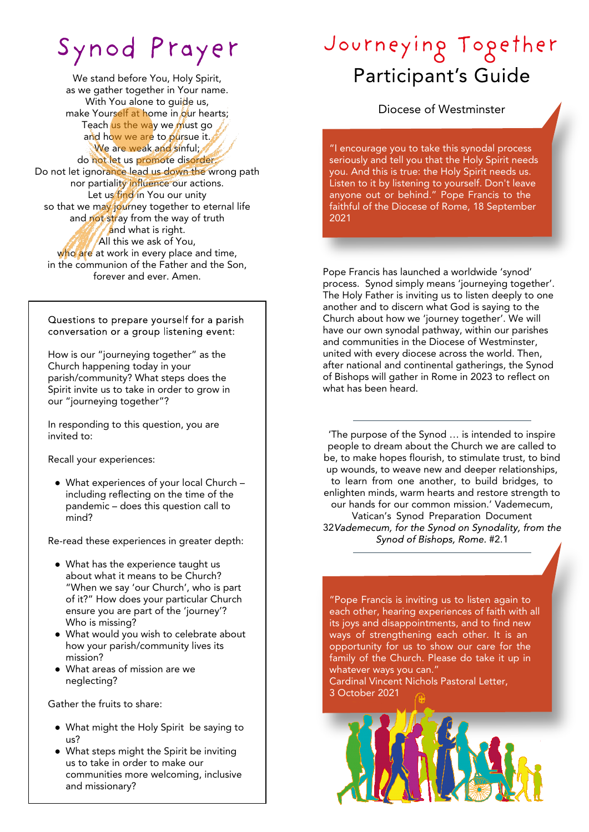# Synod Prayer

We stand before You, Holy Spirit, as we gather together in Your name. With You alone to guide us, make Yourself at home in our hearts; Teach us the way we must go and how we are to pursue it. We are weak and sinful; do not let us promote disorder. Do not let ignorance lead us down the wrong path nor partiality influence our actions. Let us find in You our unity so that we may journey together to eternal life and not stray from the way of truth and what is right. All this we ask of You, who are at work in every place and time, in the communion of the Father and the Son, forever and ever. Amen.

Questions to prepare yourself for a parish conversation or a group listening event:

How is our "journeying together" as the Church happening today in your parish/community? What steps does the Spirit invite us to take in order to grow in our "journeying together"?

In responding to this question, you are invited to:

Recall your experiences:

● What experiences of your local Church – including reflecting on the time of the pandemic – does this question call to mind?

Re-read these experiences in greater depth:

- What has the experience taught us about what it means to be Church? "When we say 'our Church', who is part of it?" How does your particular Church ensure you are part of the 'journey'? Who is missing?
- What would you wish to celebrate about how your parish/community lives its mission?
- What areas of mission are we neglecting?

Gather the fruits to share:

- What might the Holy Spirit be saying to us?
- What steps might the Spirit be inviting us to take in order to make our communities more welcoming, inclusive and missionary?

## Journeying Together Participant's Guide

Diocese of Westminster

"I encourage you to take this synodal process seriously and tell you that the Holy Spirit needs you. And this is true: the Holy Spirit needs us. Listen to it by listening to yourself. Don't leave anyone out or behind." Pope Francis to the faithful of the Diocese of Rome, 18 September 2021

Pope Francis has launched a worldwide 'synod' process. Synod simply means 'journeying together'. The Holy Father is inviting us to listen deeply to one another and to discern what God is saying to the Church about how we 'journey together'. We will have our own synodal pathway, within our parishes and communities in the Diocese of Westminster, united with every diocese across the world. Then, after national and continental gatherings, the Synod of Bishops will gather in Rome in 2023 to reflect on what has been heard.

'The purpose of the Synod … is intended to inspire people to dream about the Church we are called to be, to make hopes flourish, to stimulate trust, to bind up wounds, to weave new and deeper relationships, to learn from one another, to build bridges, to enlighten minds, warm hearts and restore strength to our hands for our common mission.' Vademecum, Vatican's Synod Preparation Document 32Vademecum, for the Synod on Synodality, from the Synod of Bishops, Rome. #2.1

"Pope Francis is inviting us to listen again to each other, hearing experiences of faith with all its joys and disappointments, and to find new ways of strengthening each other. It is an opportunity for us to show our care for the family of the Church. Please do take it up in whatever ways you can."

Cardinal Vincent Nichols Pastoral Letter, 3 October 2021